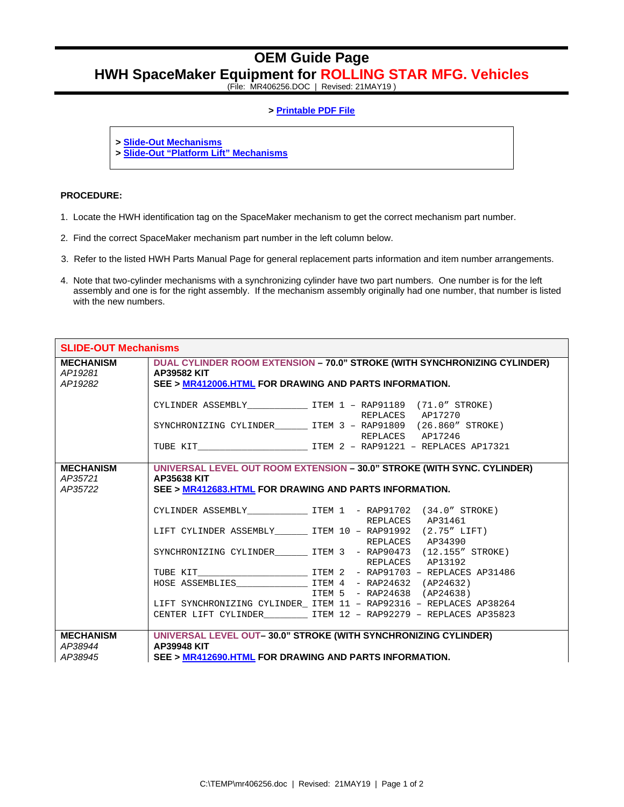## **OEM Guide Page HWH SpaceMaker Equipment for ROLLING STAR MFG. Vehicles**

(File: MR406256.DOC | Revised: 21MAY19 )

## **> Printable PDF File**

**> Slide-Out Mechanisms**

**> Slide-Out "Platform Lift" Mechanisms**

## **PROCEDURE:**

- 1. Locate the HWH identification tag on the SpaceMaker mechanism to get the correct mechanism part number.
- 2. Find the correct SpaceMaker mechanism part number in the left column below.
- 3. Refer to the listed HWH Parts Manual Page for general replacement parts information and item number arrangements.
- 4. Note that two-cylinder mechanisms with a synchronizing cylinder have two part numbers. One number is for the left assembly and one is for the right assembly. If the mechanism assembly originally had one number, that number is listed with the new numbers.

| <b>SLIDE-OUT Mechanisms</b>            |                                                                                                                                                           |                                                                                        |
|----------------------------------------|-----------------------------------------------------------------------------------------------------------------------------------------------------------|----------------------------------------------------------------------------------------|
| <b>MECHANISM</b><br>AP19281<br>AP19282 | DUAL CYLINDER ROOM EXTENSION - 70.0" STROKE (WITH SYNCHRONIZING CYLINDER)<br><b>AP39582 KIT</b><br>SEE > MR412006.HTML FOR DRAWING AND PARTS INFORMATION. |                                                                                        |
|                                        |                                                                                                                                                           | REPLACES AP17270                                                                       |
|                                        |                                                                                                                                                           | SYNCHRONIZING CYLINDER _______ ITEM 3 - RAP91809 (26.860" STROKE)<br>REPLACES AP17246  |
|                                        |                                                                                                                                                           |                                                                                        |
| <b>MECHANISM</b><br>AP35721<br>AP35722 | AP35638 KIT<br>SEE > MR412683.HTML FOR DRAWING AND PARTS INFORMATION.                                                                                     | UNIVERSAL LEVEL OUT ROOM EXTENSION - 30.0" STROKE (WITH SYNC. CYLINDER)                |
|                                        |                                                                                                                                                           | CYLINDER ASSEMBLY <b>TEM 1 - RAP91702</b> (34.0" STROKE)<br>REPLACES AP31461           |
|                                        |                                                                                                                                                           | LIFT CYLINDER ASSEMBLY ________ ITEM 10 - RAP91992 (2.75" LIFT)<br>REPLACES AP34390    |
|                                        |                                                                                                                                                           | SYNCHRONIZING CYLINDER_________ ITEM 3 - RAP90473 (12.155" STROKE)<br>REPLACES AP13192 |
|                                        |                                                                                                                                                           |                                                                                        |
|                                        |                                                                                                                                                           |                                                                                        |
|                                        |                                                                                                                                                           | ITEM 5 - RAP24638 (AP24638)                                                            |
|                                        |                                                                                                                                                           | LIFT SYNCHRONIZING CYLINDER_ ITEM 11 - RAP92316 - REPLACES AP38264                     |
|                                        |                                                                                                                                                           | CENTER LIFT CYLINDER ____________ ITEM 12 - RAP92279 - REPLACES AP35823                |
| <b>MECHANISM</b><br>AP38944<br>AP38945 | AP39948 KIT<br>SEE > MR412690.HTML FOR DRAWING AND PARTS INFORMATION.                                                                                     | UNIVERSAL LEVEL OUT-30.0" STROKE (WITH SYNCHRONIZING CYLINDER)                         |